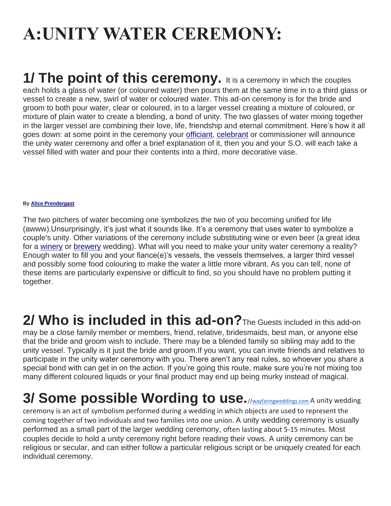# **A:UNITY WATER CEREMONY:**

**1/ The point of this ceremony.** It is a ceremony in which the couples each holds a glass of water (or coloured water) then pours them at the same time in to a third glass or vessel to create a new, swirl of water or coloured water. This ad-on ceremony is for the bride and groom to both pour water, clear or coloured, in to a larger vessel creating a mixture of coloured, or mixture of plain water to create a blending, a bond of unity. The two glasses of water mixing together in the larger vessel are combining their love, life, friendship and eternal commitment. Here's how it all goes down: at some point in the ceremony your [officiant,](https://www.weddingwire.ca/wedding-ideas/how-to-choose-a-wedding-officiant--c205) [celebrant](https://www.weddingwire.ca/wedding-ideas/what-is-a-wedding-celebrant--c547) or commissioner will announce the unity water ceremony and offer a brief explanation of it, then you and your S.O. will each take a vessel filled with water and pour their contents into a third, more decorative vase.

#### **By [Alice Prendergast](https://www.weddingwire.ca/wedding-ideas/alice-prendergast)**

The two pitchers of water becoming one symbolizes the two of you becoming unified for life (awww).Unsurprisingly, it's just what it sounds like. It's a ceremony that uses water to symbolize a couple's unity. Other variations of the ceremony include substituting wine or even beer (a great idea for a [winery](https://www.weddingwire.ca/winery-weddings) or [brewery](https://www.weddingwire.ca/wedding-ideas/the-top-10-breweries-for-a-wedding-reception-in-canada--c170) wedding). What will you need to make your unity water ceremony a reality? Enough water to fill you and your fiance(e)'s vessels, the vessels themselves, a larger third vessel and possibly some food colouring to make the water a little more vibrant. As you can tell, none of these items are particularly expensive or difficult to find, so you should have no problem putting it together.

**2/ Who is included in this ad-on?**The Guests included in this add-on may be a close family member or members, friend, relative, bridesmaids, best man, or anyone else that the bride and groom wish to include. There may be a blended family so sibling may add to the unity vessel. Typically is it just the bride and groom.If you want, you can invite friends and relatives to participate in the unity water ceremony with you. There aren't any real rules, so whoever you share a special bond with can get in on the action. If you're going this route, make sure you're not mixing too many different coloured liquids or your final product may end up being murky instead of magical.

# **3/ Some possible Wording to use.**/[/wayfaringweddings.com](http://wayfaringweddings.com/) A unity wedding

ceremony is an act of symbolism performed during a wedding in which objects are used to represent the coming together of two individuals and two families into one union. A unity wedding ceremony is usually performed as a small part of the larger wedding ceremony, often lasting about 5-15 minutes. Most couples decide to hold a unity ceremony right before reading their vows. A unity ceremony can be religious or secular, and can either follow a particular religious script or be uniquely created for each individual ceremony.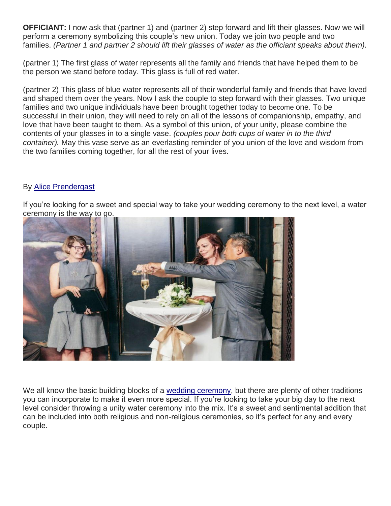**OFFICIANT:** I now ask that (partner 1) and (partner 2) step forward and lift their glasses. Now we will perform a ceremony symbolizing this couple's new union. Today we join two people and two families. *(Partner 1 and partner 2 should lift their glasses of water as the officiant speaks about them).*

(partner 1) The first glass of water represents all the family and friends that have helped them to be the person we stand before today. This glass is full of red water.

(partner 2) This glass of blue water represents all of their wonderful family and friends that have loved and shaped them over the years. Now I ask the couple to step forward with their glasses. Two unique families and two unique individuals have been brought together today to become one. To be successful in their union, they will need to rely on all of the lessons of companionship, empathy, and love that have been taught to them. As a symbol of this union, of your unity, please combine the contents of your glasses in to a single vase. *(couples pour both cups of water in to the third container).* May this vase serve as an everlasting reminder of you union of the love and wisdom from the two families coming together, for all the rest of your lives.

# By [Alice Prendergast](https://www.weddingwire.ca/wedding-ideas/alice-prendergast)

If you're looking for a sweet and special way to take your wedding ceremony to the next level, a water ceremony is the way to go.



We all know the basic building blocks of a [wedding ceremony,](https://www.weddingwire.ca/wedding-ideas/wedding-ceremony-structure--c160) but there are plenty of other traditions you can incorporate to make it even more special. If you're looking to take your big day to the next level consider throwing a unity water ceremony into the mix. It's a sweet and sentimental addition that can be included into both religious and non-religious ceremonies, so it's perfect for any and every couple.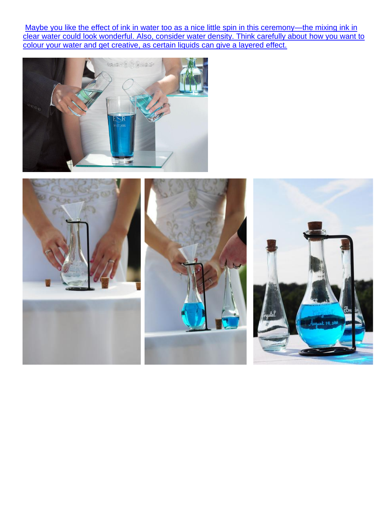Maybe you like the effect of ink in water too as a nice little spin in this ceremony—the mixing ink in [clear water could look wonderful. Also, consider water density. Think carefully about](https://www.confetti.co.uk/shop/product/classic-sand-ceremony-vase-set) how you want to [colour your water and get creative, as certain liquids can give a layered effect.](https://www.confetti.co.uk/shop/product/classic-sand-ceremony-vase-set)



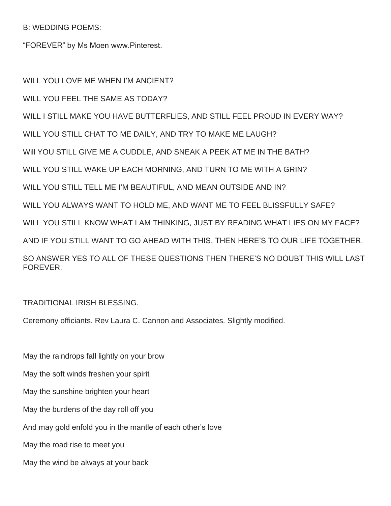B: WEDDING POEMS:

"FOREVER" by Ms Moen www.Pinterest.

WILL YOU LOVE ME WHEN I'M ANCIENT? WILL YOU FEEL THE SAME AS TODAY? WILL I STILL MAKE YOU HAVE BUTTERFLIES, AND STILL FEEL PROUD IN EVERY WAY? WILL YOU STILL CHAT TO ME DAILY, AND TRY TO MAKE ME LAUGH? Will YOU STILL GIVE ME A CUDDLE, AND SNEAK A PEEK AT ME IN THE BATH? WILL YOU STILL WAKE UP EACH MORNING, AND TURN TO ME WITH A GRIN? WILL YOU STILL TELL ME I'M BEAUTIFUL, AND MEAN OUTSIDE AND IN? WILL YOU ALWAYS WANT TO HOLD ME, AND WANT ME TO FEEL BLISSFULLY SAFE? WILL YOU STILL KNOW WHAT I AM THINKING, JUST BY READING WHAT LIES ON MY FACE? AND IF YOU STILL WANT TO GO AHEAD WITH THIS, THEN HERE'S TO OUR LIFE TOGETHER. SO ANSWER YES TO ALL OF THESE QUESTIONS THEN THERE'S NO DOUBT THIS WILL LAST FOREVER.

### TRADITIONAL IRISH BLESSING.

Ceremony officiants. Rev Laura C. Cannon and Associates. Slightly modified.

May the raindrops fall lightly on your brow May the soft winds freshen your spirit May the sunshine brighten your heart May the burdens of the day roll off you And may gold enfold you in the mantle of each other's love May the road rise to meet you May the wind be always at your back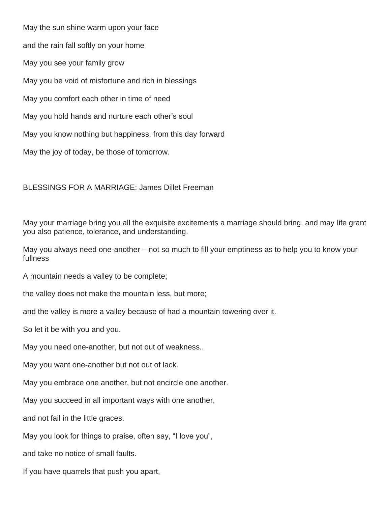May the sun shine warm upon your face and the rain fall softly on your home May you see your family grow May you be void of misfortune and rich in blessings May you comfort each other in time of need May you hold hands and nurture each other's soul May you know nothing but happiness, from this day forward May the joy of today, be those of tomorrow.

BLESSINGS FOR A MARRIAGE: James Dillet Freeman

May your marriage bring you all the exquisite excitements a marriage should bring, and may life grant you also patience, tolerance, and understanding.

May you always need one-another – not so much to fill your emptiness as to help you to know your fullness

A mountain needs a valley to be complete;

the valley does not make the mountain less, but more;

and the valley is more a valley because of had a mountain towering over it.

So let it be with you and you.

May you need one-another, but not out of weakness..

May you want one-another but not out of lack.

May you embrace one another, but not encircle one another.

May you succeed in all important ways with one another,

and not fail in the little graces.

May you look for things to praise, often say, "I love you",

and take no notice of small faults.

If you have quarrels that push you apart,